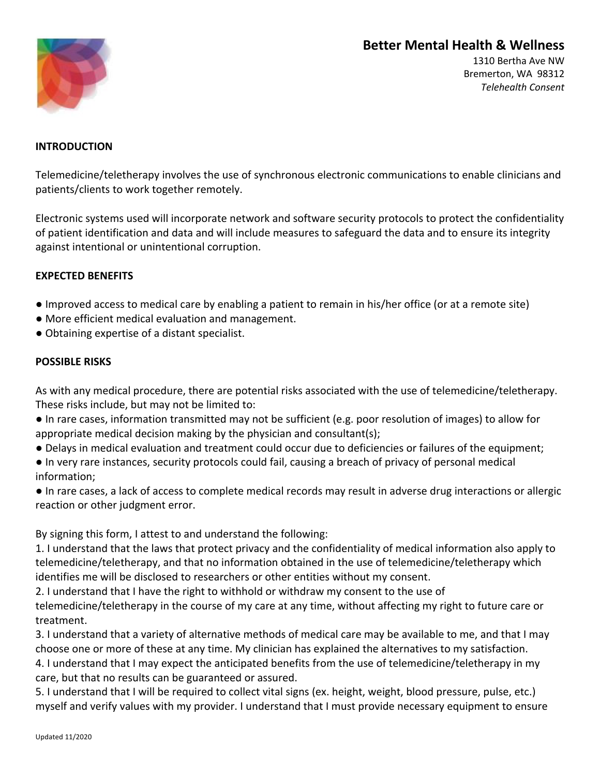# **Better Mental Health & Wellness**



1310 Bertha Ave NW Bremerton, WA 98312 *Telehealth Consent*

### **INTRODUCTION**

Telemedicine/teletherapy involves the use of synchronous electronic communications to enable clinicians and patients/clients to work together remotely.

Electronic systems used will incorporate network and software security protocols to protect the confidentiality of patient identification and data and will include measures to safeguard the data and to ensure its integrity against intentional or unintentional corruption.

### **EXPECTED BENEFITS**

- Improved access to medical care by enabling a patient to remain in his/her office (or at a remote site)
- More efficient medical evaluation and management.
- Obtaining expertise of a distant specialist.

#### **POSSIBLE RISKS**

As with any medical procedure, there are potential risks associated with the use of telemedicine/teletherapy. These risks include, but may not be limited to:

- In rare cases, information transmitted may not be sufficient (e.g. poor resolution of images) to allow for appropriate medical decision making by the physician and consultant(s);
- Delays in medical evaluation and treatment could occur due to deficiencies or failures of the equipment;
- In very rare instances, security protocols could fail, causing a breach of privacy of personal medical information;

● In rare cases, a lack of access to complete medical records may result in adverse drug interactions or allergic reaction or other judgment error.

By signing this form, I attest to and understand the following:

1. I understand that the laws that protect privacy and the confidentiality of medical information also apply to telemedicine/teletherapy, and that no information obtained in the use of telemedicine/teletherapy which identifies me will be disclosed to researchers or other entities without my consent.

2. I understand that I have the right to withhold or withdraw my consent to the use of

telemedicine/teletherapy in the course of my care at any time, without affecting my right to future care or treatment.

3. I understand that a variety of alternative methods of medical care may be available to me, and that I may choose one or more of these at any time. My clinician has explained the alternatives to my satisfaction. 4. I understand that I may expect the anticipated benefits from the use of telemedicine/teletherapy in my care, but that no results can be guaranteed or assured.

5. I understand that I will be required to collect vital signs (ex. height, weight, blood pressure, pulse, etc.) myself and verify values with my provider. I understand that I must provide necessary equipment to ensure